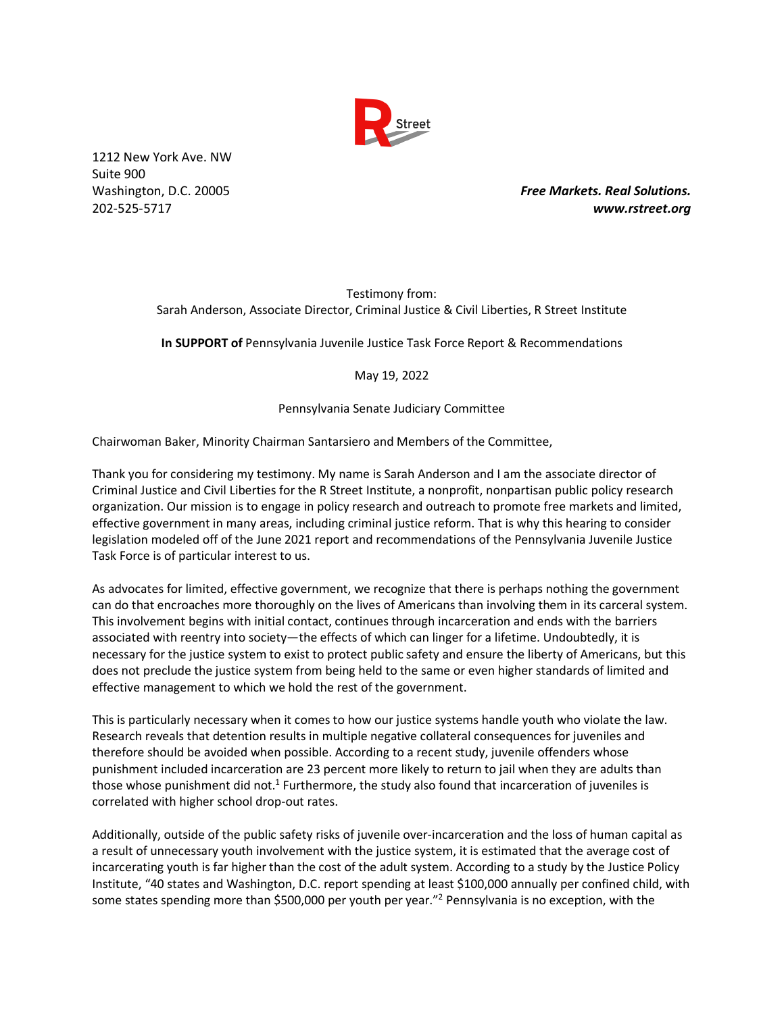

1212 New York Ave. NW Suite 900

Washington, D.C. 20005 *Free Markets. Real Solutions.* 202-525-5717 *www.rstreet.org*

> Testimony from: Sarah Anderson, Associate Director, Criminal Justice & Civil Liberties, R Street Institute

> **In SUPPORT of** Pennsylvania Juvenile Justice Task Force Report & Recommendations

May 19, 2022

## Pennsylvania Senate Judiciary Committee

Chairwoman Baker, Minority Chairman Santarsiero and Members of the Committee,

Thank you for considering my testimony. My name is Sarah Anderson and I am the associate director of Criminal Justice and Civil Liberties for the R Street Institute, a nonprofit, nonpartisan public policy research organization. Our mission is to engage in policy research and outreach to promote free markets and limited, effective government in many areas, including criminal justice reform. That is why this hearing to consider legislation modeled off of the June 2021 report and recommendations of the Pennsylvania Juvenile Justice Task Force is of particular interest to us.

As advocates for limited, effective government, we recognize that there is perhaps nothing the government can do that encroaches more thoroughly on the lives of Americans than involving them in its carceral system. This involvement begins with initial contact, continues through incarceration and ends with the barriers associated with reentry into society—the effects of which can linger for a lifetime. Undoubtedly, it is necessary for the justice system to exist to protect public safety and ensure the liberty of Americans, but this does not preclude the justice system from being held to the same or even higher standards of limited and effective management to which we hold the rest of the government.

This is particularly necessary when it comes to how our justice systems handle youth who violate the law. Research reveals that detention results in multiple negative collateral consequences for juveniles and therefore should be avoided when possible. According to a recent study, juvenile offenders whose punishment included incarceration are 23 percent more likely to return to jail when they are adults than those whose punishment did not.<sup>1</sup> Furthermore, the study also found that incarceration of juveniles is correlated with higher school drop-out rates.

Additionally, outside of the public safety risks of juvenile over-incarceration and the loss of human capital as a result of unnecessary youth involvement with the justice system, it is estimated that the average cost of incarcerating youth is far higher than the cost of the adult system. According to a study by the Justice Policy Institute, "40 states and Washington, D.C. report spending at least \$100,000 annually per confined child, with some states spending more than \$500,000 per youth per year."<sup>2</sup> Pennsylvania is no exception, with the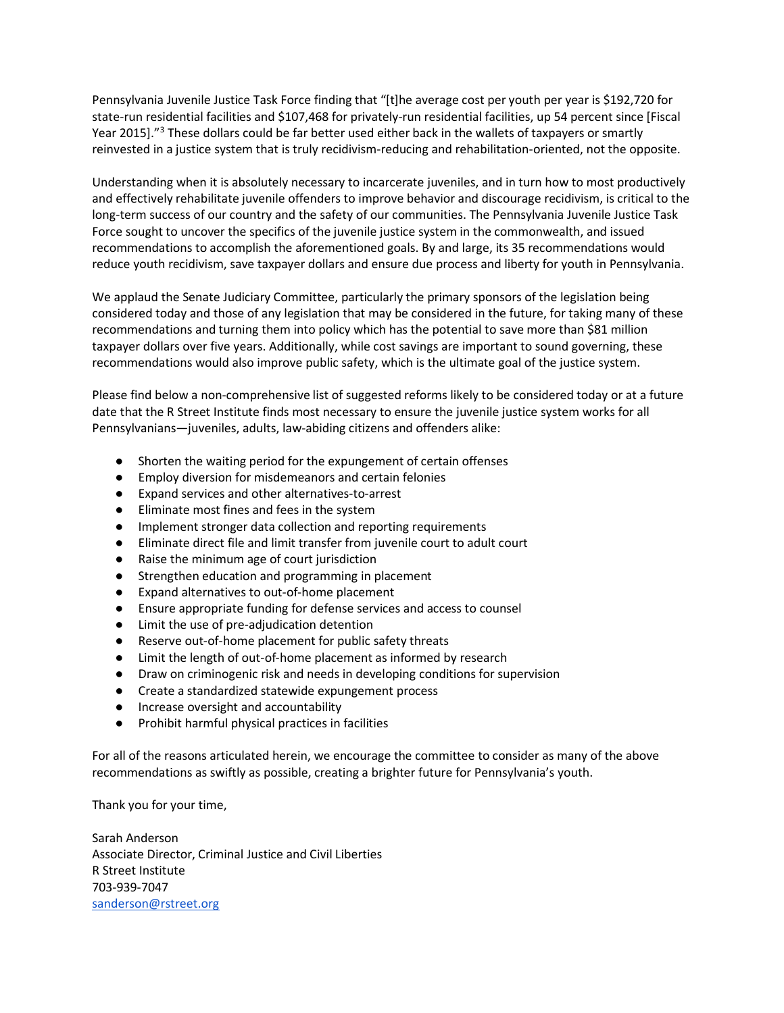Pennsylvania Juvenile Justice Task Force finding that "[t]he average cost per youth per year is \$192,720 for state-run residential facilities and \$107,468 for privately-run residential facilities, up 54 percent since [Fiscal Year 2015]."<sup>3</sup> These dollars could be far better used either back in the wallets of taxpayers or smartly reinvested in a justice system that is truly recidivism-reducing and rehabilitation-oriented, not the opposite.

Understanding when it is absolutely necessary to incarcerate juveniles, and in turn how to most productively and effectively rehabilitate juvenile offenders to improve behavior and discourage recidivism, is critical to the long-term success of our country and the safety of our communities. The Pennsylvania Juvenile Justice Task Force sought to uncover the specifics of the juvenile justice system in the commonwealth, and issued recommendations to accomplish the aforementioned goals. By and large, its 35 recommendations would reduce youth recidivism, save taxpayer dollars and ensure due process and liberty for youth in Pennsylvania.

We applaud the Senate Judiciary Committee, particularly the primary sponsors of the legislation being considered today and those of any legislation that may be considered in the future, for taking many of these recommendations and turning them into policy which has the potential to save more than \$81 million taxpayer dollars over five years. Additionally, while cost savings are important to sound governing, these recommendations would also improve public safety, which is the ultimate goal of the justice system.

Please find below a non-comprehensive list of suggested reforms likely to be considered today or at a future date that the R Street Institute finds most necessary to ensure the juvenile justice system works for all Pennsylvanians—juveniles, adults, law-abiding citizens and offenders alike:

- Shorten the waiting period for the expungement of certain offenses
- Employ diversion for misdemeanors and certain felonies
- Expand services and other alternatives-to-arrest
- Eliminate most fines and fees in the system
- Implement stronger data collection and reporting requirements
- Eliminate direct file and limit transfer from juvenile court to adult court
- Raise the minimum age of court jurisdiction
- Strengthen education and programming in placement
- Expand alternatives to out-of-home placement
- Ensure appropriate funding for defense services and access to counsel
- Limit the use of pre-adjudication detention
- Reserve out-of-home placement for public safety threats
- Limit the length of out-of-home placement as informed by research
- Draw on criminogenic risk and needs in developing conditions for supervision
- Create a standardized statewide expungement process
- Increase oversight and accountability
- Prohibit harmful physical practices in facilities

For all of the reasons articulated herein, we encourage the committee to consider as many of the above recommendations as swiftly as possible, creating a brighter future for Pennsylvania's youth.

Thank you for your time,

Sarah Anderson Associate Director, Criminal Justice and Civil Liberties R Street Institute 703-939-7047 sanderson@rstreet.org